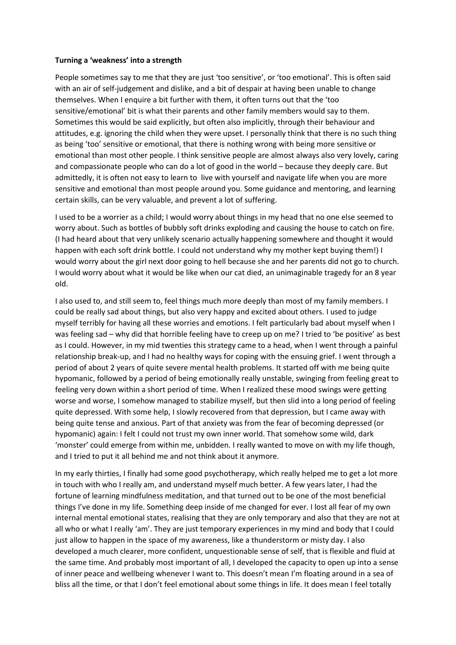## **Turning a 'weakness' into a strength**

People sometimes say to me that they are just 'too sensitive', or 'too emotional'. This is often said with an air of self-judgement and dislike, and a bit of despair at having been unable to change themselves. When I enquire a bit further with them, it often turns out that the 'too sensitive/emotional' bit is what their parents and other family members would say to them. Sometimes this would be said explicitly, but often also implicitly, through their behaviour and attitudes, e.g. ignoring the child when they were upset. I personally think that there is no such thing as being 'too' sensitive or emotional, that there is nothing wrong with being more sensitive or emotional than most other people. I think sensitive people are almost always also very lovely, caring and compassionate people who can do a lot of good in the world – because they deeply care. But admittedly, it is often not easy to learn to live with yourself and navigate life when you are more sensitive and emotional than most people around you. Some guidance and mentoring, and learning certain skills, can be very valuable, and prevent a lot of suffering.

I used to be a worrier as a child; I would worry about things in my head that no one else seemed to worry about. Such as bottles of bubbly soft drinks exploding and causing the house to catch on fire. (I had heard about that very unlikely scenario actually happening somewhere and thought it would happen with each soft drink bottle. I could not understand why my mother kept buying them!) I would worry about the girl next door going to hell because she and her parents did not go to church. I would worry about what it would be like when our cat died, an unimaginable tragedy for an 8 year old.

I also used to, and still seem to, feel things much more deeply than most of my family members. I could be really sad about things, but also very happy and excited about others. I used to judge myself terribly for having all these worries and emotions. I felt particularly bad about myself when I was feeling sad – why did that horrible feeling have to creep up on me? I tried to 'be positive' as best as I could. However, in my mid twenties this strategy came to a head, when I went through a painful relationship break-up, and I had no healthy ways for coping with the ensuing grief. I went through a period of about 2 years of quite severe mental health problems. It started off with me being quite hypomanic, followed by a period of being emotionally really unstable, swinging from feeling great to feeling very down within a short period of time. When I realized these mood swings were getting worse and worse, I somehow managed to stabilize myself, but then slid into a long period of feeling quite depressed. With some help, I slowly recovered from that depression, but I came away with being quite tense and anxious. Part of that anxiety was from the fear of becoming depressed (or hypomanic) again: I felt I could not trust my own inner world. That somehow some wild, dark 'monster' could emerge from within me, unbidden. I really wanted to move on with my life though, and I tried to put it all behind me and not think about it anymore.

In my early thirties, I finally had some good psychotherapy, which really helped me to get a lot more in touch with who I really am, and understand myself much better. A few years later, I had the fortune of learning mindfulness meditation, and that turned out to be one of the most beneficial things I've done in my life. Something deep inside of me changed for ever. I lost all fear of my own internal mental emotional states, realising that they are only temporary and also that they are not at all who or what I really 'am'. They are just temporary experiences in my mind and body that I could just allow to happen in the space of my awareness, like a thunderstorm or misty day. I also developed a much clearer, more confident, unquestionable sense of self, that is flexible and fluid at the same time. And probably most important of all, I developed the capacity to open up into a sense of inner peace and wellbeing whenever I want to. This doesn't mean I'm floating around in a sea of bliss all the time, or that I don't feel emotional about some things in life. It does mean I feel totally